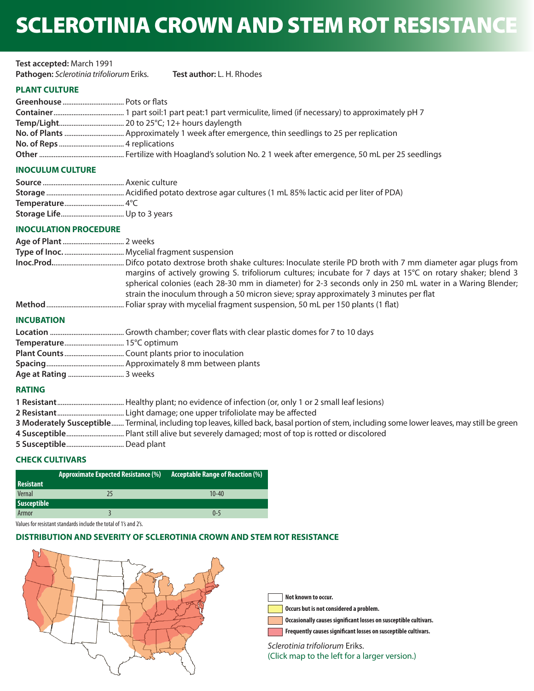# SCLEROTINIA CROWN AND STEM ROT RESISTANCE

| Test accepted: March 1991                |                                  |
|------------------------------------------|----------------------------------|
| Pathogen: Sclerotinia trifoliorum Eriks. | <b>Test author: L. H. Rhodes</b> |
|                                          |                                  |

# **PLANT CULTURE**

# **INOCULUM CULTURE**

## **INOCULATION PROCEDURE**

|                   | margins of actively growing S. trifoliorum cultures; incubate for 7 days at 15°C on rotary shaker; blend 3<br>spherical colonies (each 28-30 mm in diameter) for 2-3 seconds only in 250 mL water in a Waring Blender; |
|-------------------|------------------------------------------------------------------------------------------------------------------------------------------------------------------------------------------------------------------------|
|                   | strain the inoculum through a 50 micron sieve; spray approximately 3 minutes per flat                                                                                                                                  |
|                   |                                                                                                                                                                                                                        |
| <b>INCUBATION</b> |                                                                                                                                                                                                                        |

## **INCUBATION**

# **RATING**

| 3 Moderately Susceptible Terminal, including top leaves, killed back, basal portion of stem, including some lower leaves, may still be green |
|----------------------------------------------------------------------------------------------------------------------------------------------|
|                                                                                                                                              |
|                                                                                                                                              |

## **CHECK CULTIVARS**

|                  | <b>Approximate Expected Resistance (%)</b> | Acceptable Range of Reaction $(\%)$ |
|------------------|--------------------------------------------|-------------------------------------|
| <b>Resistant</b> |                                            |                                     |
| Vernal           |                                            | $10 - 40$                           |
| Susceptible      |                                            |                                     |
| Armor            |                                            | $0 - 5$                             |

Values for resistant standards include the total of 1's and 2's.

# **DISTRIBUTION AND SEVERITY OF SCLEROTINIA CROWN AND STEM ROT RESISTANCE**